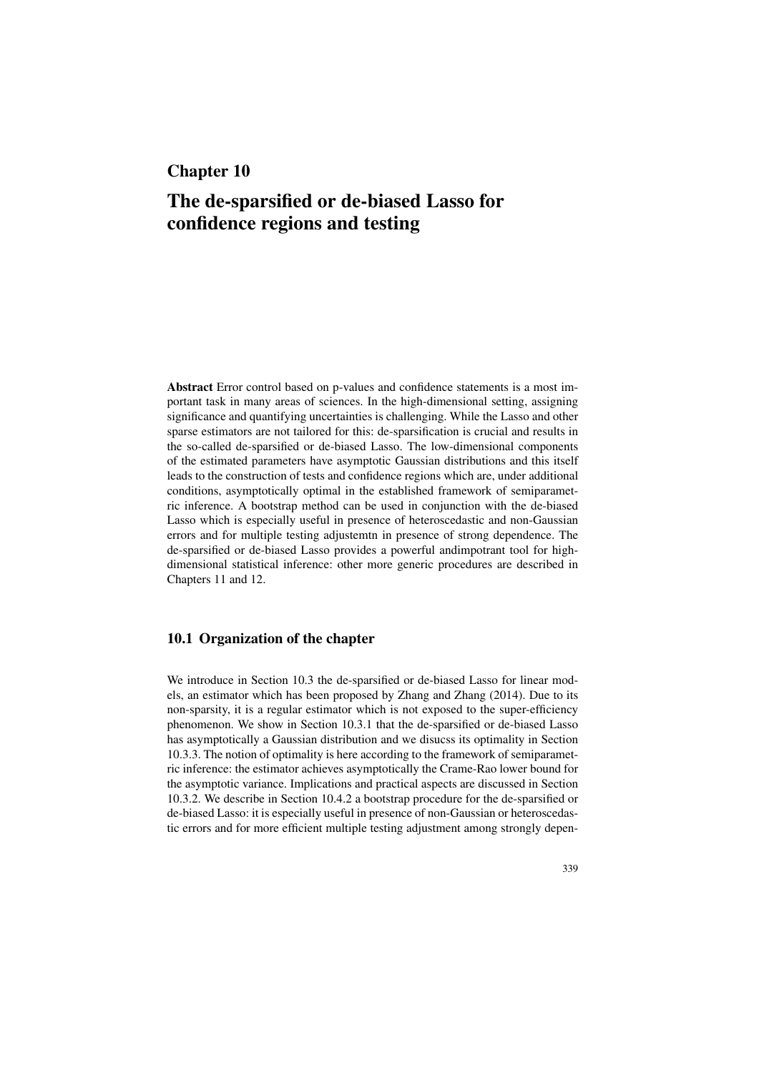# Chapter 10

# The de-sparsified or de-biased Lasso for confidence regions and testing

Abstract Error control based on p-values and confidence statements is a most important task in many areas of sciences. In the high-dimensional setting, assigning significance and quantifying uncertainties is challenging. While the Lasso and other sparse estimators are not tailored for this: de-sparsification is crucial and results in the so-called de-sparsified or de-biased Lasso. The low-dimensional components of the estimated parameters have asymptotic Gaussian distributions and this itself leads to the construction of tests and confidence regions which are, under additional conditions, asymptotically optimal in the established framework of semiparametric inference. A bootstrap method can be used in conjunction with the de-biased Lasso which is especially useful in presence of heteroscedastic and non-Gaussian errors and for multiple testing adjustemtn in presence of strong dependence. The de-sparsified or de-biased Lasso provides a powerful andimpotrant tool for highdimensional statistical inference: other more generic procedures are described in Chapters 11 and 12.

#### 10.1 Organization of the chapter

We introduce in Section 10.3 the de-sparsified or de-biased Lasso for linear models, an estimator which has been proposed by Zhang and Zhang (2014). Due to its non-sparsity, it is a regular estimator which is not exposed to the super-efficiency phenomenon. We show in Section 10.3.1 that the de-sparsified or de-biased Lasso has asymptotically a Gaussian distribution and we disucss its optimality in Section 10.3.3. The notion of optimality is here according to the framework of semiparametric inference: the estimator achieves asymptotically the Crame-Rao lower bound for the asymptotic variance. Implications and practical aspects are discussed in Section 10.3.2. We describe in Section 10.4.2 a bootstrap procedure for the de-sparsified or de-biased Lasso: it is especially useful in presence of non-Gaussian or heteroscedastic errors and for more efficient multiple testing adjustment among strongly depen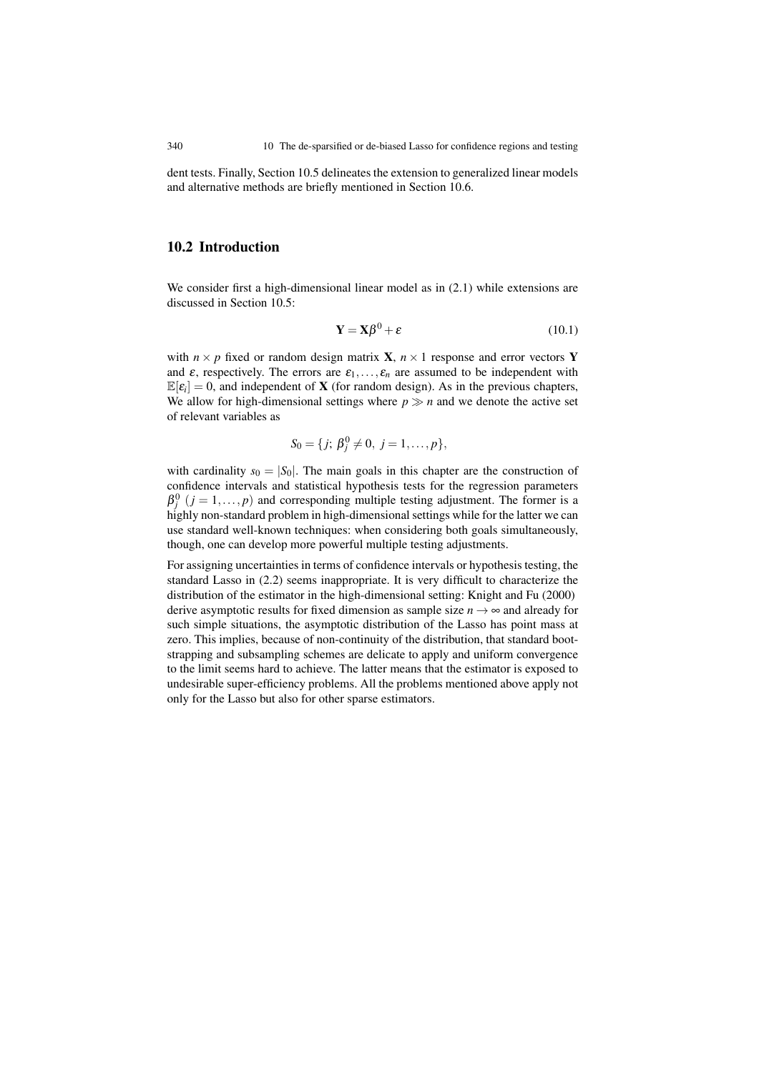dent tests. Finally, Section 10.5 delineates the extension to generalized linear models and alternative methods are briefly mentioned in Section 10.6.

## 10.2 Introduction

We consider first a high-dimensional linear model as in (2.1) while extensions are discussed in Section 10.5:

$$
\mathbf{Y} = \mathbf{X}\boldsymbol{\beta}^0 + \boldsymbol{\varepsilon} \tag{10.1}
$$

with  $n \times p$  fixed or random design matrix **X**,  $n \times 1$  response and error vectors **Y** and  $\varepsilon$ , respectively. The errors are  $\varepsilon_1, \ldots, \varepsilon_n$  are assumed to be independent with  $\mathbb{E}[\varepsilon_i] = 0$ , and independent of **X** (for random design). As in the previous chapters, We allow for high-dimensional settings where  $p \gg n$  and we denote the active set of relevant variables as

$$
S_0 = \{j; \beta_j^0 \neq 0, j = 1, \ldots, p\},\
$$

with cardinality  $s_0 = |S_0|$ . The main goals in this chapter are the construction of confidence intervals and statistical hypothesis tests for the regression parameters  $\beta_j^0$  ( $j = 1, ..., p$ ) and corresponding multiple testing adjustment. The former is a highly non-standard problem in high-dimensional settings while for the latter we can use standard well-known techniques: when considering both goals simultaneously, though, one can develop more powerful multiple testing adjustments.

For assigning uncertainties in terms of confidence intervals or hypothesis testing, the standard Lasso in (2.2) seems inappropriate. It is very difficult to characterize the distribution of the estimator in the high-dimensional setting: Knight and Fu (2000) derive asymptotic results for fixed dimension as sample size  $n \to \infty$  and already for such simple situations, the asymptotic distribution of the Lasso has point mass at zero. This implies, because of non-continuity of the distribution, that standard bootstrapping and subsampling schemes are delicate to apply and uniform convergence to the limit seems hard to achieve. The latter means that the estimator is exposed to undesirable super-efficiency problems. All the problems mentioned above apply not only for the Lasso but also for other sparse estimators.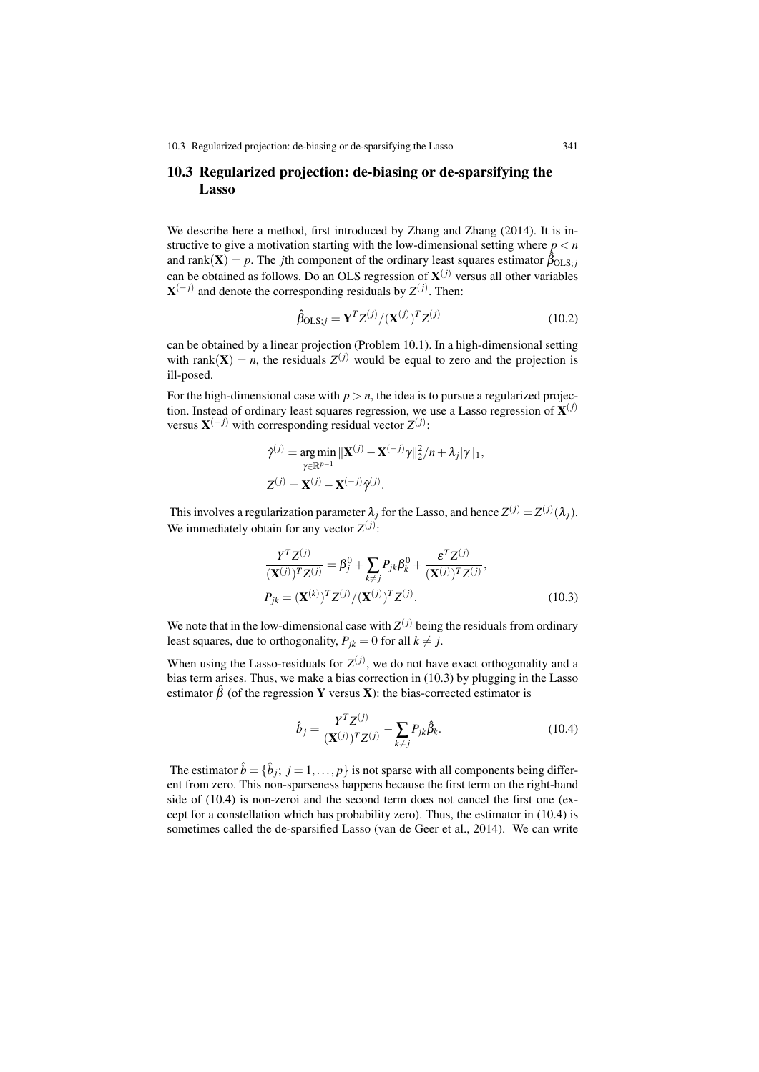10.3 Regularized projection: de-biasing or de-sparsifying the Lasso 341

## 10.3 Regularized projection: de-biasing or de-sparsifying the Lasso

We describe here a method, first introduced by Zhang and Zhang (2014). It is instructive to give a motivation starting with the low-dimensional setting where  $p < n$ and rank $(\mathbf{X}) = p$ . The *j*th component of the ordinary least squares estimator  $\hat{\beta}_{OLS;j}$ can be obtained as follows. Do an OLS regression of  $X^{(j)}$  versus all other variables  $X^{(-j)}$  and denote the corresponding residuals by  $Z^{(j)}$ . Then:

$$
\hat{\beta}_{\text{OLS};j} = \mathbf{Y}^T Z^{(j)} / (\mathbf{X}^{(j)})^T Z^{(j)} \tag{10.2}
$$

can be obtained by a linear projection (Problem 10.1). In a high-dimensional setting with rank(**X**) = *n*, the residuals  $Z^{(j)}$  would be equal to zero and the projection is ill-posed.

For the high-dimensional case with  $p > n$ , the idea is to pursue a regularized projection. Instead of ordinary least squares regression, we use a Lasso regression of  $\mathbf{X}^{(j)}$ versus  $X^{(-j)}$  with corresponding residual vector  $Z^{(j)}$ :

$$
\hat{\gamma}^{(j)} = \underset{\gamma \in \mathbb{R}^{p-1}}{\arg \min} ||\mathbf{X}^{(j)} - \mathbf{X}^{(-j)}\gamma||_2^2/n + \lambda_j|\gamma||_1,
$$
  

$$
Z^{(j)} = \mathbf{X}^{(j)} - \mathbf{X}^{(-j)}\hat{\gamma}^{(j)}.
$$

This involves a regularization parameter  $\lambda_j$  for the Lasso, and hence  $Z^{(j)} = Z^{(j)}(\lambda_j)$ . We immediately obtain for any vector  $Z^{(j)}$ :

$$
\frac{Y^{T}Z^{(j)}}{(\mathbf{X}^{(j)})^{T}Z^{(j)}} = \beta_{j}^{0} + \sum_{k \neq j} P_{jk}\beta_{k}^{0} + \frac{\varepsilon^{T}Z^{(j)}}{(\mathbf{X}^{(j)})^{T}Z^{(j)}},
$$
  
\n
$$
P_{jk} = (\mathbf{X}^{(k)})^{T}Z^{(j)}/(\mathbf{X}^{(j)})^{T}Z^{(j)}.
$$
\n(10.3)

We note that in the low-dimensional case with  $Z^{(j)}$  being the residuals from ordinary least squares, due to orthogonality,  $P_{ik} = 0$  for all  $k \neq j$ .

When using the Lasso-residuals for  $Z^{(j)}$ , we do not have exact orthogonality and a bias term arises. Thus, we make a bias correction in (10.3) by plugging in the Lasso estimator  $\hat{\beta}$  (of the regression Y versus X): the bias-corrected estimator is

$$
\hat{b}_j = \frac{Y^T Z^{(j)}}{(\mathbf{X}^{(j)})^T Z^{(j)}} - \sum_{k \neq j} P_{jk} \hat{\beta}_k.
$$
\n(10.4)

The estimator  $\hat{b} = \{\hat{b}_j; j = 1, \ldots, p\}$  is not sparse with all components being different from zero. This non-sparseness happens because the first term on the right-hand side of (10.4) is non-zeroi and the second term does not cancel the first one (except for a constellation which has probability zero). Thus, the estimator in (10.4) is sometimes called the de-sparsified Lasso (van de Geer et al., 2014). We can write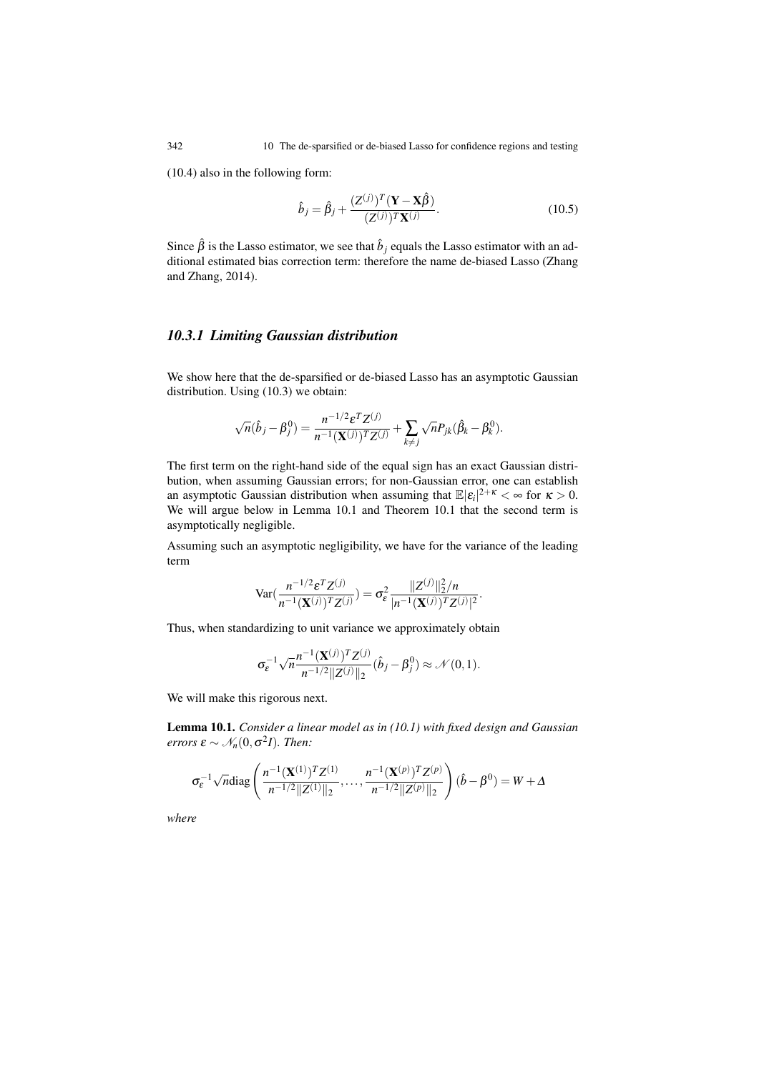(10.4) also in the following form:

$$
\hat{b}_j = \hat{\beta}_j + \frac{(Z^{(j)})^T (\mathbf{Y} - \mathbf{X}\hat{\beta})}{(Z^{(j)})^T \mathbf{X}^{(j)}}.
$$
\n(10.5)

Since  $\hat{\beta}$  is the Lasso estimator, we see that  $\hat{b}_j$  equals the Lasso estimator with an additional estimated bias correction term: therefore the name de-biased Lasso (Zhang and Zhang, 2014).

#### *10.3.1 Limiting Gaussian distribution*

We show here that the de-sparsified or de-biased Lasso has an asymptotic Gaussian distribution. Using (10.3) we obtain:

$$
\sqrt{n}(\hat{b}_j-\beta_j^0)=\frac{n^{-1/2}\varepsilon^T Z^{(j)}}{n^{-1}(\mathbf{X}^{(j)})^T Z^{(j)}}+\sum_{k\neq j}\sqrt{n}P_{jk}(\hat{\beta}_k-\beta_k^0).
$$

The first term on the right-hand side of the equal sign has an exact Gaussian distribution, when assuming Gaussian errors; for non-Gaussian error, one can establish an asymptotic Gaussian distribution when assuming that  $\mathbb{E}|\varepsilon_i|^{2+\kappa} < \infty$  for  $\kappa > 0$ . We will argue below in Lemma 10.1 and Theorem 10.1 that the second term is asymptotically negligible.

Assuming such an asymptotic negligibility, we have for the variance of the leading term

$$
\text{Var}\left(\frac{n^{-1/2} \varepsilon^T Z^{(j)}}{n^{-1} (\mathbf{X}^{(j)})^T Z^{(j)}}\right) = \sigma_{\varepsilon}^2 \frac{\|Z^{(j)}\|_2^2/n}{|n^{-1} (\mathbf{X}^{(j)})^T Z^{(j)}|^2}.
$$

Thus, when standardizing to unit variance we approximately obtain

$$
\sigma_{\varepsilon}^{-1} \sqrt{n} \frac{n^{-1}(\mathbf{X}^{(j)})^T Z^{(j)}}{n^{-1/2} ||Z^{(j)}||_2} (\hat{b}_j - \beta_j^0) \approx \mathcal{N}(0, 1).
$$

We will make this rigorous next.

Lemma 10.1. *Consider a linear model as in (10.1) with fixed design and Gaussian errors*  $\varepsilon \sim \mathcal{N}_n(0, \sigma^2 I)$ *. Then:* 

$$
\sigma_{\varepsilon}^{-1} \sqrt{n} \text{diag}\left(\frac{n^{-1}(\mathbf{X}^{(1)})^T Z^{(1)}}{n^{-1/2} \|Z^{(1)}\|_2}, \dots, \frac{n^{-1}(\mathbf{X}^{(p)})^T Z^{(p)}}{n^{-1/2} \|Z^{(p)}\|_2}\right) (\hat{b} - \beta^0) = W + \Delta
$$

*where*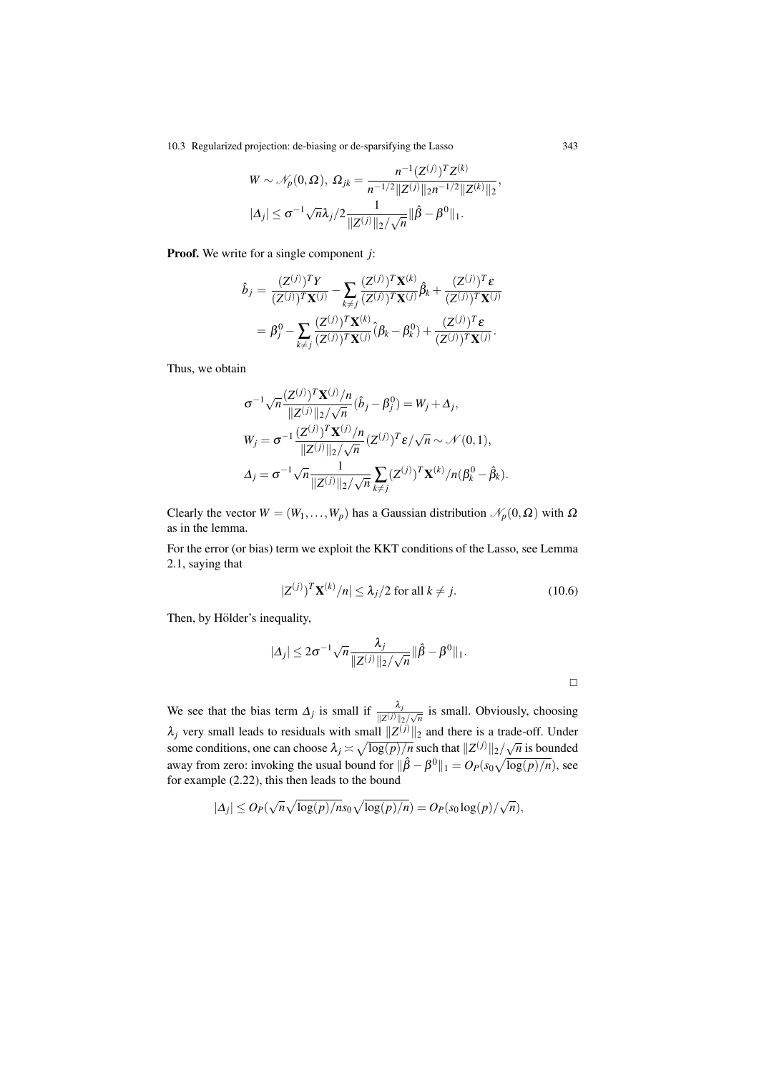10.3 Regularized projection: de-biasing or de-sparsifying the Lasso 343

$$
W \sim \mathcal{N}_p(0, \Omega), \ \Omega_{jk} = \frac{n^{-1}(Z^{(j)})^T Z^{(k)}}{n^{-1/2} ||Z^{(j)}||_2 n^{-1/2} ||Z^{(k)}||_2},
$$

$$
|\Delta_j| \leq \sigma^{-1} \sqrt{n} \lambda_j / 2 \frac{1}{||Z^{(j)}||_2 / \sqrt{n}} ||\hat{\beta} - \beta^0||_1.
$$

Proof. We write for a single component *j*:

$$
\hat{b}_j = \frac{(Z^{(j)})^T Y}{(Z^{(j)})^T \mathbf{X}^{(j)}} - \sum_{k \neq j} \frac{(Z^{(j)})^T \mathbf{X}^{(k)}}{(Z^{(j)})^T \mathbf{X}^{(j)}} \hat{\beta}_k + \frac{(Z^{(j)})^T \boldsymbol{\varepsilon}}{(Z^{(j)})^T \mathbf{X}^{(j)}}
$$
\n
$$
= \beta_j^0 - \sum_{k \neq j} \frac{(Z^{(j)})^T \mathbf{X}^{(k)}}{(Z^{(j)})^T \mathbf{X}^{(j)}} (\beta_k - \beta_k^0) + \frac{(Z^{(j)})^T \boldsymbol{\varepsilon}}{(Z^{(j)})^T \mathbf{X}^{(j)}}.
$$

Thus, we obtain

$$
\sigma^{-1} \sqrt{n} \frac{(Z^{(j)})^T \mathbf{X}^{(j)}/n}{\|Z^{(j)}\|_2 / \sqrt{n}} (\hat{b}_j - \beta_j^0) = W_j + \Delta_j,
$$
  
\n
$$
W_j = \sigma^{-1} \frac{(Z^{(j)})^T \mathbf{X}^{(j)}/n}{\|Z^{(j)}\|_2 / \sqrt{n}} (Z^{(j)})^T \varepsilon / \sqrt{n} \sim \mathcal{N}(0, 1),
$$
  
\n
$$
\Delta_j = \sigma^{-1} \sqrt{n} \frac{1}{\|Z^{(j)}\|_2 / \sqrt{n}} \sum_{k \neq j} (Z^{(j)})^T \mathbf{X}^{(k)}/n(\beta_k^0 - \hat{\beta}_k).
$$

Clearly the vector  $W = (W_1, \ldots, W_p)$  has a Gaussian distribution  $\mathcal{N}_p(0, \Omega)$  with  $\Omega$ as in the lemma.

For the error (or bias) term we exploit the KKT conditions of the Lasso, see Lemma 2.1, saying that

$$
|Z^{(j)}\rangle^T \mathbf{X}^{(k)}/n| \le \lambda_j/2 \text{ for all } k \neq j.
$$
 (10.6)

Then, by Hölder's inequality,

$$
|\Delta_j| \leq 2\sigma^{-1} \sqrt{n} \frac{\lambda_j}{\|Z^{(j)}\|_2/\sqrt{n}} \|\hat{\beta} - \beta^0\|_1.
$$

We see that the bias term  $\Delta_j$  is small if  $\frac{\lambda_j}{\|Z^{(j)}\|_2/\sqrt{n}}$  is small. Obviously, choosing  $\lambda_j$  very small leads to residuals with small  $||Z^{(j)}||_2$  and there is a trade-off. Under some conditions, one can choose  $\lambda_j \asymp \sqrt{\log(p)/n}$  such that  $||Z^{(j)}||_2/\sqrt{n}$  is bounded away from zero: invoking the usual bound for  $\|\hat{\beta} - \beta^0\|_1 = O_P(s_0\sqrt{\log(p)/n})$ , see for example (2.22), this then leads to the bound

$$
|\Delta_j| \leq O_P(\sqrt{n}\sqrt{\log(p)/n} s_0\sqrt{\log(p)/n}) = O_P(s_0\log(p)/\sqrt{n}),
$$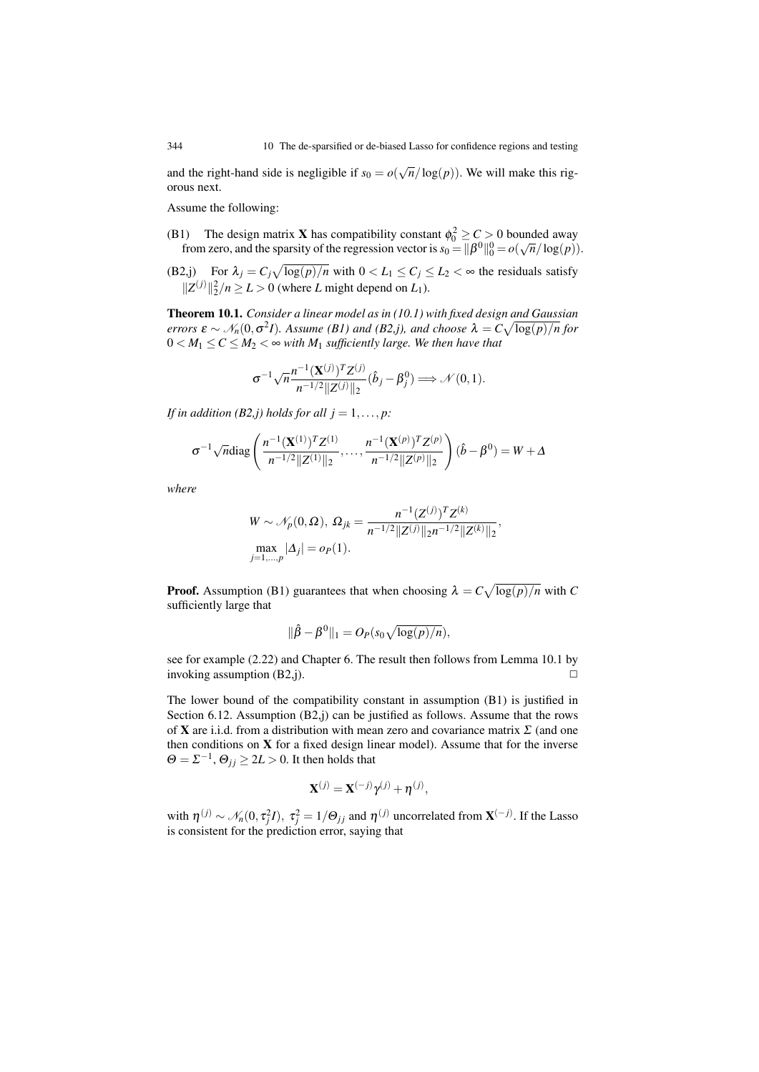and the right-hand side is negligible if  $s_0 = o(\sqrt{n}/\log(p))$ . We will make this rigorous next.

Assume the following:

- (B1) The design matrix **X** has compatibility constant  $\phi_0^2 \ge C > 0$  bounded away from zero, and the sparsity of the regression vector is  $s_0 = ||\beta^0||_0^0 = o(\sqrt{n}/\log(p)).$
- (B2,j) For  $\lambda_j = C_j \sqrt{\log(p)/n}$  with  $0 < L_1 \le C_j \le L_2 < \infty$  the residuals satisfy  $||Z^{(j)}||_2^2/n \ge L > 0$  (where *L* might depend on *L*<sub>1</sub>).

Theorem 10.1. *Consider a linear model as in (10.1) with fixed design and Gaussian errors*  $\epsilon \sim \mathcal{N}_n(0, \sigma^2 I)$ *. Assume (B1) and (B2,j), and choose*  $\lambda = C \sqrt{\log(p)/n}$  for  $0 < M_1 \leq C \leq M_2 < \infty$  with  $M_1$  sufficiently large. We then have that

$$
\sigma^{-1}\sqrt{n}\frac{n^{-1}(\mathbf{X}^{(j)})^T Z^{(j)}}{n^{-1/2}||Z^{(j)}||_2}(\hat{b}_j-\beta_j^0)\Longrightarrow \mathcal{N}(0,1).
$$

*If in addition (B2,j) holds for all*  $j = 1, \ldots, p$ *:* 

$$
\sigma^{-1}\sqrt{n}\text{diag}\left(\frac{n^{-1}(\mathbf{X}^{(1)})^TZ^{(1)}}{n^{-1/2}||Z^{(1)}||_2},\ldots,\frac{n^{-1}(\mathbf{X}^{(p)})^TZ^{(p)}}{n^{-1/2}||Z^{(p)}||_2}\right)(\hat{b}-\beta^0)=W+\Delta
$$

*where*

$$
W \sim \mathcal{N}_p(0, \Omega), \ \Omega_{jk} = \frac{n^{-1}(Z^{(j)})^T Z^{(k)}}{n^{-1/2} ||Z^{(j)}||_2 n^{-1/2} ||Z^{(k)}||_2},
$$
  
\n
$$
\max_{j=1,\dots,p} |\Delta_j| = o_P(1).
$$

**Proof.** Assumption (B1) guarantees that when choosing  $\lambda = C \sqrt{\log(p)/n}$  with *C* sufficiently large that

$$
\|\hat{\beta}-\beta^0\|_1=O_P(s_0\sqrt{\log(p)/n}),
$$

see for example (2.22) and Chapter 6. The result then follows from Lemma 10.1 by invoking assumption  $(B2,j)$ .

The lower bound of the compatibility constant in assumption (B1) is justified in Section 6.12. Assumption (B2,j) can be justified as follows. Assume that the rows of **X** are i.i.d. from a distribution with mean zero and covariance matrix  $\Sigma$  (and one then conditions on  $X$  for a fixed design linear model). Assume that for the inverse  $\Theta = \Sigma^{-1}, \Theta_{ij} \geq 2L > 0$ . It then holds that

$$
\mathbf{X}^{(j)} = \mathbf{X}^{(-j)}\gamma^{(j)} + \eta^{(j)},
$$

with  $\eta^{(j)} \sim \mathcal{N}_n(0, \tau_j^2 I)$ ,  $\tau_j^2 = 1/\Theta_{jj}$  and  $\eta^{(j)}$  uncorrelated from  $\mathbf{X}^{(-j)}$ . If the Lasso is consistent for the prediction error, saying that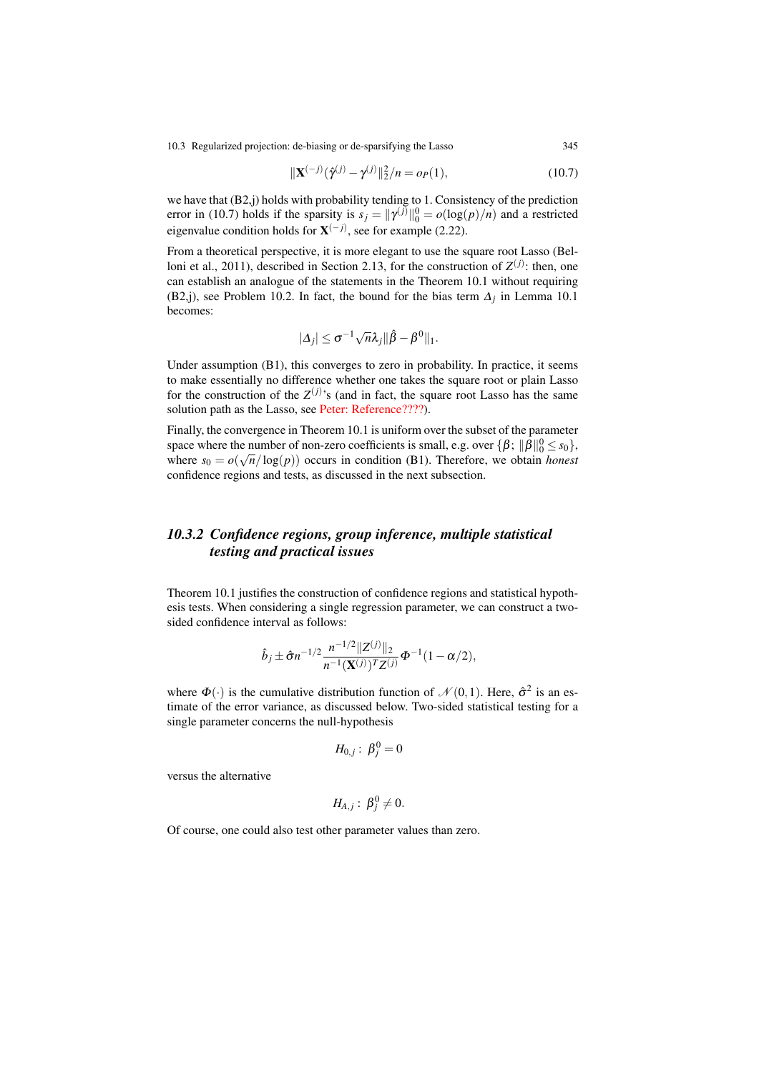10.3 Regularized projection: de-biasing or de-sparsifying the Lasso 345

$$
\|\mathbf{X}^{(-j)}(\hat{\gamma}^{(j)} - \gamma^{(j)}\|_2^2 / n = o_P(1),\tag{10.7}
$$

we have that (B2,j) holds with probability tending to 1. Consistency of the prediction error in (10.7) holds if the sparsity is  $s_j = ||\gamma^{(j)}||_0^0 = o(\log(p)/n)$  and a restricted eigenvalue condition holds for  $X^{(-j)}$ , see for example (2.22).

From a theoretical perspective, it is more elegant to use the square root Lasso (Belloni et al., 2011), described in Section 2.13, for the construction of  $Z^{(j)}$ : then, one can establish an analogue of the statements in the Theorem 10.1 without requiring (B2,j), see Problem 10.2. In fact, the bound for the bias term  $\Delta_i$  in Lemma 10.1 becomes:

$$
|\Delta_j|\leq \sigma^{-1}\sqrt{n}\lambda_j\|\hat{\beta}-\beta^0\|_1.
$$

Under assumption (B1), this converges to zero in probability. In practice, it seems to make essentially no difference whether one takes the square root or plain Lasso for the construction of the  $Z^{(j)}$ 's (and in fact, the square root Lasso has the same solution path as the Lasso, see Peter: Reference????).

Finally, the convergence in Theorem 10.1 is uniform over the subset of the parameter space where the number of non-zero coefficients is small, e.g. over  $\{\beta; \| \beta \|_0^0 \le s_0\}$ , where  $s_0 = o(\sqrt{n}/\log(p))$  occurs in condition (B1). Therefore, we obtain *honest* confidence regions and tests, as discussed in the next subsection.

# *10.3.2 Confidence regions, group inference, multiple statistical testing and practical issues*

Theorem 10.1 justifies the construction of confidence regions and statistical hypothesis tests. When considering a single regression parameter, we can construct a twosided confidence interval as follows:

$$
\hat{b}_j \pm \hat{\sigma} n^{-1/2} \frac{n^{-1/2} ||Z^{(j)}||_2}{n^{-1} (\mathbf{X}^{(j)})^T Z^{(j)}} \Phi^{-1} (1 - \alpha/2),
$$

where  $\Phi(\cdot)$  is the cumulative distribution function of  $\mathcal{N}(0,1)$ . Here,  $\hat{\sigma}^2$  is an estimate of the error variance, as discussed below. Two-sided statistical testing for a single parameter concerns the null-hypothesis

$$
H_{0,j}:\ \beta^0_j=0
$$

versus the alternative

$$
H_{A,j}:\ \beta_j^0\neq 0.
$$

Of course, one could also test other parameter values than zero.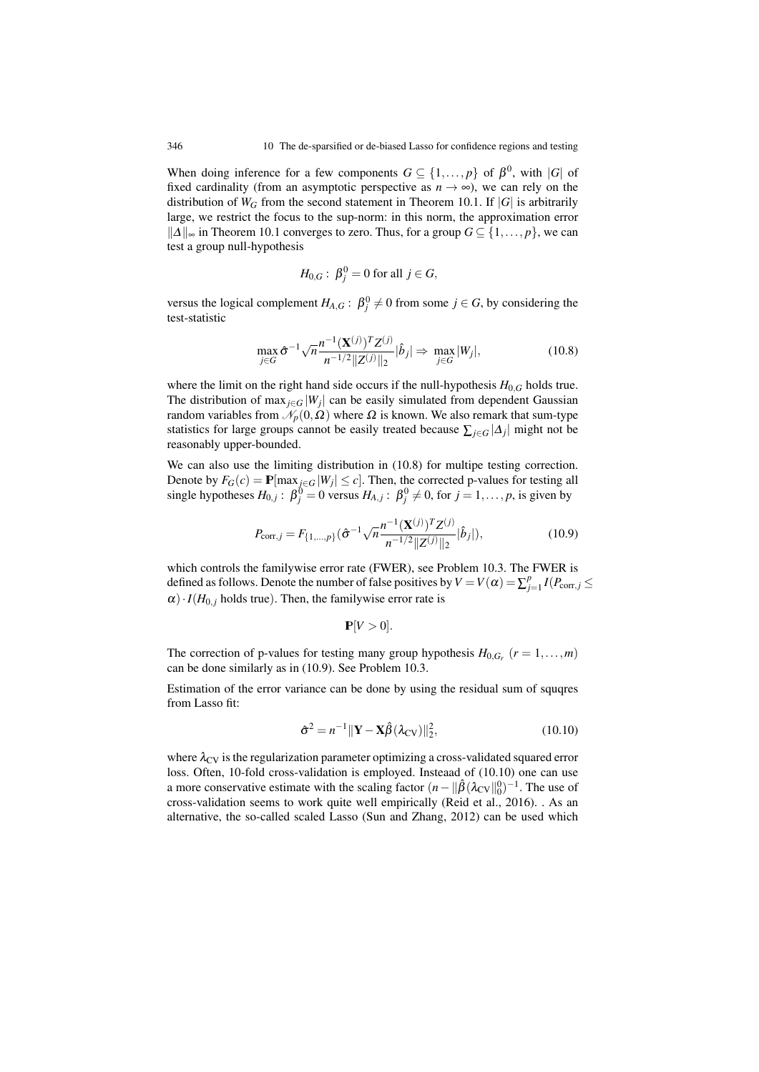When doing inference for a few components  $G \subseteq \{1, ..., p\}$  of  $\beta^0$ , with  $|G|$  of fixed cardinality (from an asymptotic perspective as  $n \to \infty$ ), we can rely on the distribution of  $W_G$  from the second statement in Theorem 10.1. If  $|G|$  is arbitrarily large, we restrict the focus to the sup-norm: in this norm, the approximation error  $||\Delta||_{\infty}$  in Theorem 10.1 converges to zero. Thus, for a group *G* ⊆ {1,..., *p*}, we can test a group null-hypothesis

$$
H_{0,G}: \ \beta_j^0 = 0 \text{ for all } j \in G,
$$

versus the logical complement  $H_{A,G}: \beta_j^0 \neq 0$  from some  $j \in G$ , by considering the test-statistic

$$
\max_{j \in G} \hat{\sigma}^{-1} \sqrt{n} \frac{n^{-1} (\mathbf{X}^{(j)})^T Z^{(j)}}{n^{-1/2} \|Z^{(j)}\|_2} |\hat{b}_j| \Rightarrow \max_{j \in G} |W_j|,
$$
\n(10.8)

where the limit on the right hand side occurs if the null-hypothesis  $H_{0,G}$  holds true. The distribution of max<sub> $i \in G$ </sub> | $W_i$ | can be easily simulated from dependent Gaussian random variables from  $\mathcal{N}_p(0,\Omega)$  where  $\Omega$  is known. We also remark that sum-type statistics for large groups cannot be easily treated because  $\sum_{i \in G} |\Delta_i|$  might not be reasonably upper-bounded.

We can also use the limiting distribution in (10.8) for multipe testing correction. Denote by  $F_G(c) = \mathbf{P}[\max_{j \in G} |W_j| \le c]$ . Then, the corrected p-values for testing all single hypotheses  $H_{0,j}$ :  $\beta_j^0 = 0$  versus  $H_{A,j}$ :  $\beta_j^0 \neq 0$ , for  $j = 1, ..., p$ , is given by

$$
P_{\text{corr},j} = F_{\{1,\dots,p\}}(\hat{\sigma}^{-1}\sqrt{n}\frac{n^{-1}(\mathbf{X}^{(j)})^T Z^{(j)}}{n^{-1/2}||Z^{(j)}||_2}|\hat{b}_j|),\tag{10.9}
$$

which controls the familywise error rate (FWER), see Problem 10.3. The FWER is defined as follows. Denote the number of false positives by  $V = V(\alpha) = \sum_{j=1}^{p} I(P_{\text{corr},j} \leq$  $\alpha$ ) · *I*( $H_{0,i}$  holds true). Then, the familywise error rate is

$$
\mathbf{P}[V>0].
$$

The correction of p-values for testing many group hypothesis  $H_{0,G_r}$  ( $r = 1,...,m$ ) can be done similarly as in (10.9). See Problem 10.3.

Estimation of the error variance can be done by using the residual sum of squqres from Lasso fit:

$$
\hat{\sigma}^2 = n^{-1} \|\mathbf{Y} - \mathbf{X}\hat{\beta}(\lambda_{\rm CV})\|_2^2, \tag{10.10}
$$

where  $\lambda_{\rm CV}$  is the regularization parameter optimizing a cross-validated squared error loss. Often, 10-fold cross-validation is employed. Insteaad of (10.10) one can use a more conservative estimate with the scaling factor  $(n - ||\hat{\beta}(\lambda_{CV}||_0^0)^{-1}$ . The use of cross-validation seems to work quite well empirically (Reid et al., 2016). . As an alternative, the so-called scaled Lasso (Sun and Zhang, 2012) can be used which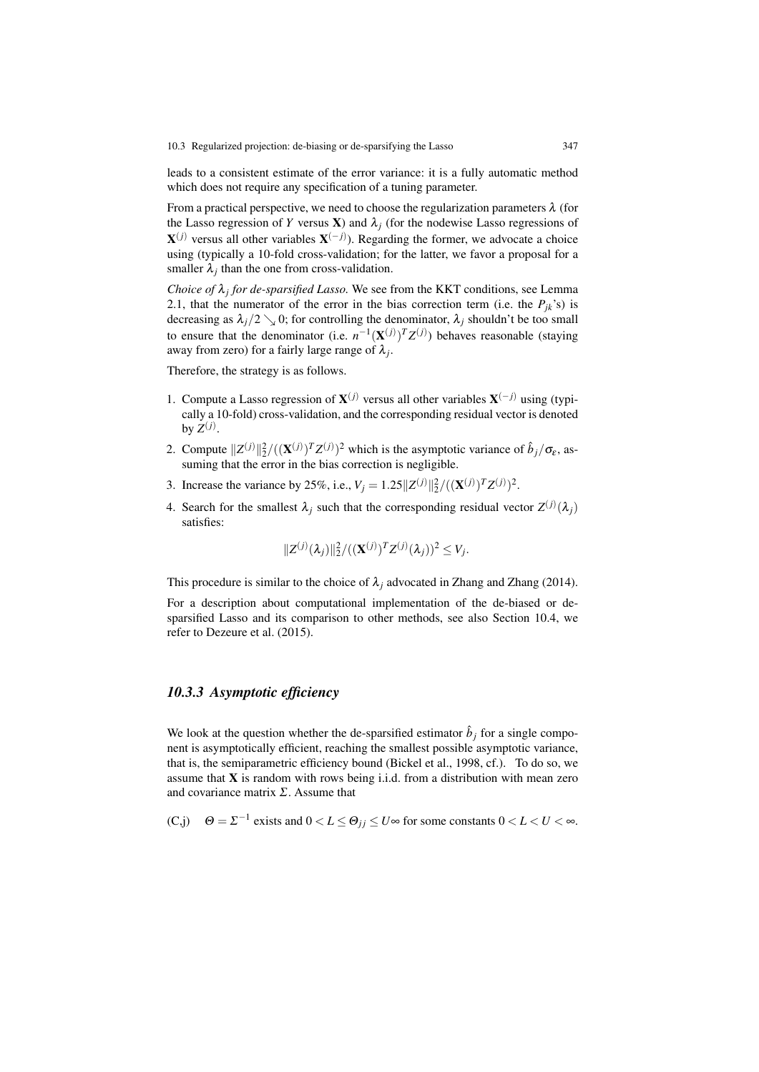leads to a consistent estimate of the error variance: it is a fully automatic method which does not require any specification of a tuning parameter.

From a practical perspective, we need to choose the regularization parameters  $\lambda$  (for the Lasso regression of *Y* versus **X**) and  $\lambda_j$  (for the nodewise Lasso regressions of  $X^{(j)}$  versus all other variables  $X^{(-j)}$ ). Regarding the former, we advocate a choice using (typically a 10-fold cross-validation; for the latter, we favor a proposal for a smaller  $\lambda_j$  than the one from cross-validation.

*Choice of*  $\lambda_j$  *for de-sparsified Lasso.* We see from the KKT conditions, see Lemma 2.1, that the numerator of the error in the bias correction term (i.e. the  $P_{ik}$ 's) is decreasing as  $\lambda_j/2 \searrow 0$ ; for controlling the denominator,  $\lambda_j$  shouldn't be too small to ensure that the denominator (i.e.  $n^{-1}(\mathbf{X}^{(j)})^T Z^{(j)}$ ) behaves reasonable (staying away from zero) for a fairly large range of  $\lambda_i$ .

Therefore, the strategy is as follows.

- 1. Compute a Lasso regression of  $X^{(j)}$  versus all other variables  $X^{(-j)}$  using (typically a 10-fold) cross-validation, and the corresponding residual vector is denoted by  $Z^{(j)}$ .
- 2. Compute  $||Z^{(j)}||_2^2/((\mathbf{X}^{(j)})^T Z^{(j)})^2$  which is the asymptotic variance of  $\hat{b}_j/\sigma_{\varepsilon}$ , assuming that the error in the bias correction is negligible.
- 3. Increase the variance by 25%, i.e.,  $V_j = 1.25||Z^{(j)}||_2^2/((\mathbf{X}^{(j)})^T Z^{(j)})^2$ .
- 4. Search for the smallest  $\lambda_j$  such that the corresponding residual vector  $Z^{(j)}(\lambda_j)$ satisfies:

$$
||Z^{(j)}(\lambda_j)||_2^2/((\mathbf{X}^{(j)})^T Z^{(j)}(\lambda_j))^2 \leq V_j.
$$

This procedure is similar to the choice of  $\lambda_i$  advocated in Zhang and Zhang (2014).

For a description about computational implementation of the de-biased or desparsified Lasso and its comparison to other methods, see also Section 10.4, we refer to Dezeure et al. (2015).

### *10.3.3 Asymptotic efficiency*

We look at the question whether the de-sparsified estimator  $\hat{b}_j$  for a single component is asymptotically efficient, reaching the smallest possible asymptotic variance, that is, the semiparametric efficiency bound (Bickel et al., 1998, cf.). To do so, we assume that  $X$  is random with rows being i.i.d. from a distribution with mean zero and covariance matrix  $\Sigma$ . Assume that

(C,j) 
$$
\Theta = \Sigma^{-1}
$$
 exists and  $0 < L \le \Theta_{jj} \le U \infty$  for some constants  $0 < L < U < \infty$ .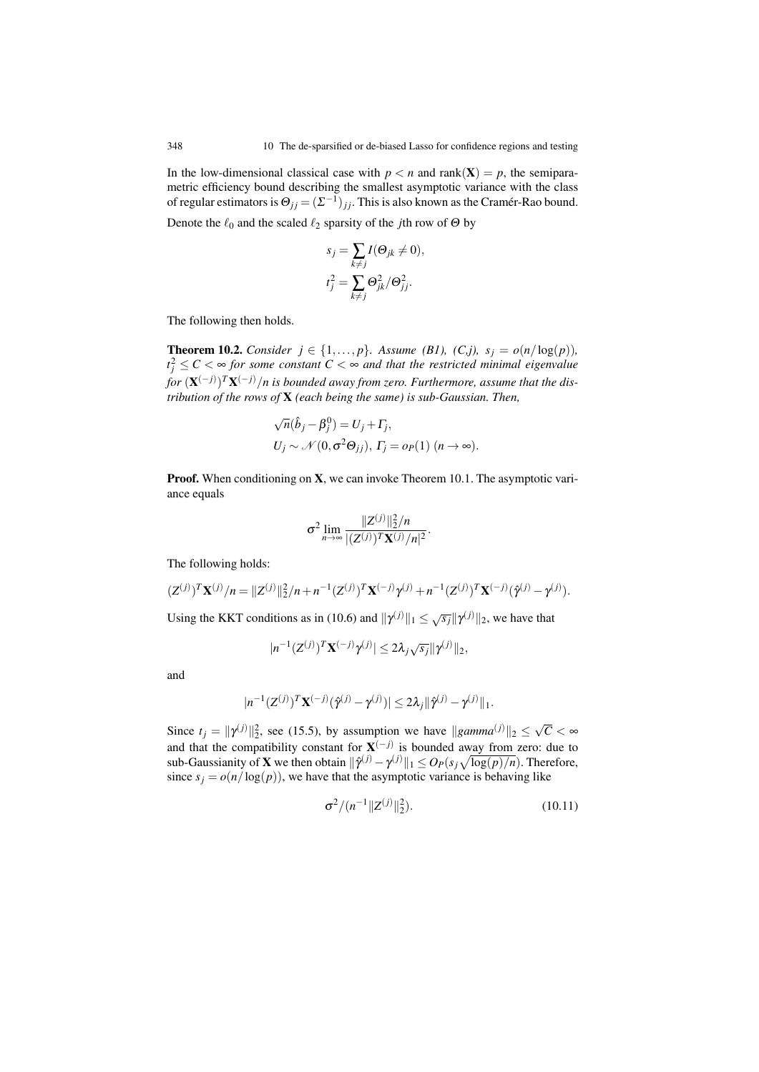In the low-dimensional classical case with  $p < n$  and rank(X) = *p*, the semiparametric efficiency bound describing the smallest asymptotic variance with the class of regular estimators is  $\Theta_{ij} = (\Sigma^{-1})_{ij}$ . This is also known as the Cramer-Rao bound.

Denote the  $\ell_0$  and the scaled  $\ell_2$  sparsity of the *j*th row of  $\Theta$  by

$$
s_j = \sum_{k \neq j} I(\Theta_{jk} \neq 0),
$$
  

$$
t_j^2 = \sum_{k \neq j} \Theta_{jk}^2 / \Theta_{jj}^2.
$$

The following then holds.

**Theorem 10.2.** *Consider*  $j \in \{1, \ldots, p\}$ *. Assume (B1), (C,j), s<sub>j</sub> =*  $o(n/\log(p))$ *,*  $t_j^2 \leq C < \infty$  for some constant  $C < \infty$  and that the restricted minimal eigenvalue *for* (X(−*j*) )*T*X(−*j*) /*n is bounded away from zero. Furthermore, assume that the distribution of the rows of* X *(each being the same) is sub-Gaussian. Then,*

$$
\sqrt{n}(\hat{b}_j - \beta_j^0) = U_j + \Gamma_j,
$$
  
\n
$$
U_j \sim \mathcal{N}(0, \sigma^2 \Theta_{jj}), \Gamma_j = o_P(1) \quad (n \to \infty).
$$

**Proof.** When conditioning on  $X$ , we can invoke Theorem 10.1. The asymptotic variance equals

$$
\sigma^2 \lim_{n \to \infty} \frac{\|Z^{(j)}\|_2^2/n}{|(Z^{(j)})^T \mathbf{X}^{(j)}/n|^2}.
$$

The following holds:

$$
(Z^{(j)})^T \mathbf{X}^{(j)}/n = ||Z^{(j)}||_2^2/n + n^{-1} (Z^{(j)})^T \mathbf{X}^{(-j)} \gamma^{(j)} + n^{-1} (Z^{(j)})^T \mathbf{X}^{(-j)} (\hat{\gamma}^{(j)} - \gamma^{(j)}).
$$

Using the KKT conditions as in (10.6) and  $\|\gamma^{(j)}\|_1 \leq \sqrt{s_j}\|\gamma^{(j)}\|_2$ , we have that

$$
|n^{-1}(Z^{(j)})^T\mathbf{X}^{(-j)}\gamma^{(j)}| \leq 2\lambda_j\sqrt{s_j}||\gamma^{(j)}||_2,
$$

and

$$
|n^{-1}(Z^{(j)})^T\mathbf{X}^{(-j)}(\hat{\gamma}^{(j)}-\gamma^{(j)})|\leq 2\lambda_j\|\hat{\gamma}^{(j)}-\gamma^{(j)}\|_1.
$$

Since  $t_j = ||\gamma^{(j)}||_2^2$ , see (15.5), by assumption we have  $||gamma^{(j)}||_2 \le \sqrt{C} < \infty$ and that the compatibility constant for  $X^{(-j)}$  is bounded away from zero: due to sub-Gaussianity of **X** we then obtain  $\|\hat{\gamma}^{(j)} - \gamma^{(j)}\|_1 \leq O_P(s_j\sqrt{\log(p)/n})$ . Therefore, since  $s_j = o(n/\log(p))$ , we have that the asymptotic variance is behaving like

$$
\sigma^2/(n^{-1}||Z^{(j)}||_2^2). \tag{10.11}
$$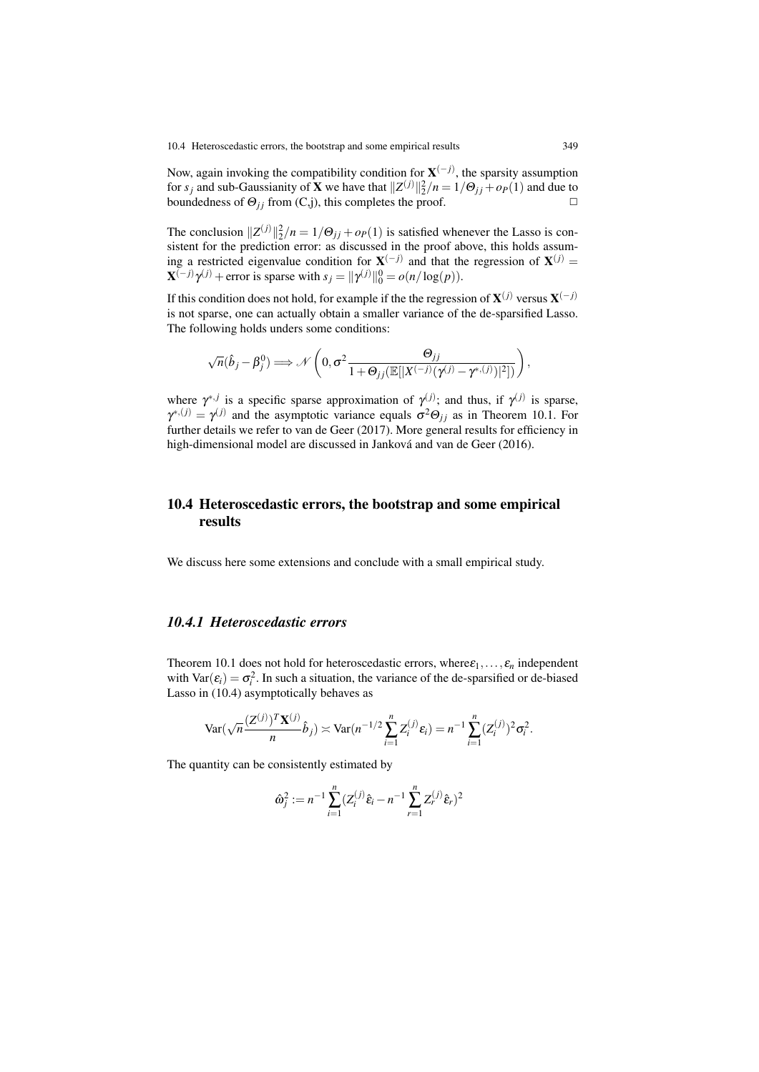Now, again invoking the compatibility condition for X(−*j*) , the sparsity assumption for *s<sub>j</sub>* and sub-Gaussianity of **X** we have that  $||Z^{(j)}||_2^2/n = 1/\Theta_{jj} + o_P(1)$  and due to boundedness of  $\Theta_{ij}$  from (C,j), this completes the proof.  $\square$ 

The conclusion  $||Z^{(j)}||_2^2/n = 1/\Theta_{jj} + o_P(1)$  is satisfied whenever the Lasso is consistent for the prediction error: as discussed in the proof above, this holds assuming a restricted eigenvalue condition for  $X^{(-j)}$  and that the regression of  $X^{(j)}$  =  $\mathbf{X}^{(-j)}\gamma^{(j)} +$  error is sparse with  $s_j = ||\gamma^{(j)}||_0^0 = o(n/\log(p)).$ 

If this condition does not hold, for example if the the regression of  $X^{(j)}$  versus  $X^{(-j)}$ is not sparse, one can actually obtain a smaller variance of the de-sparsified Lasso. The following holds unders some conditions:

$$
\sqrt{n}(\hat{b}_j - \beta_j^0) \Longrightarrow \mathcal{N}\left(0, \sigma^2 \frac{\Theta_{jj}}{1 + \Theta_{jj}(\mathbb{E}[|X^{(-j)}(\gamma^{(j)} - \gamma^{*,(j)})|^2])}\right),
$$

where  $\gamma^{*,j}$  is a specific sparse approximation of  $\gamma^{(j)}$ ; and thus, if  $\gamma^{(j)}$  is sparse,  $\gamma^{*,(j)} = \gamma^{(j)}$  and the asymptotic variance equals  $\sigma^2 \Theta_{jj}$  as in Theorem 10.1. For further details we refer to van de Geer (2017). More general results for efficiency in high-dimensional model are discussed in Janková and van de Geer (2016).

# 10.4 Heteroscedastic errors, the bootstrap and some empirical results

We discuss here some extensions and conclude with a small empirical study.

# *10.4.1 Heteroscedastic errors*

Theorem 10.1 does not hold for heteroscedastic errors, where  $\varepsilon_1, \ldots, \varepsilon_n$  independent with  $\text{Var}(\varepsilon_i) = \sigma_i^2$ . In such a situation, the variance of the de-sparsified or de-biased Lasso in (10.4) asymptotically behaves as

$$
\text{Var}(\sqrt{n}\frac{(Z^{(j)})^T\mathbf{X}^{(j)}}{n}\hat{b}_j) \asymp \text{Var}(n^{-1/2}\sum_{i=1}^n Z_i^{(j)}\varepsilon_i) = n^{-1}\sum_{i=1}^n (Z_i^{(j)})^2 \sigma_i^2.
$$

The quantity can be consistently estimated by

$$
\hat{\omega}_j^2 := n^{-1} \sum_{i=1}^n (Z_i^{(j)} \hat{\varepsilon}_i - n^{-1} \sum_{r=1}^n Z_r^{(j)} \hat{\varepsilon}_r)^2
$$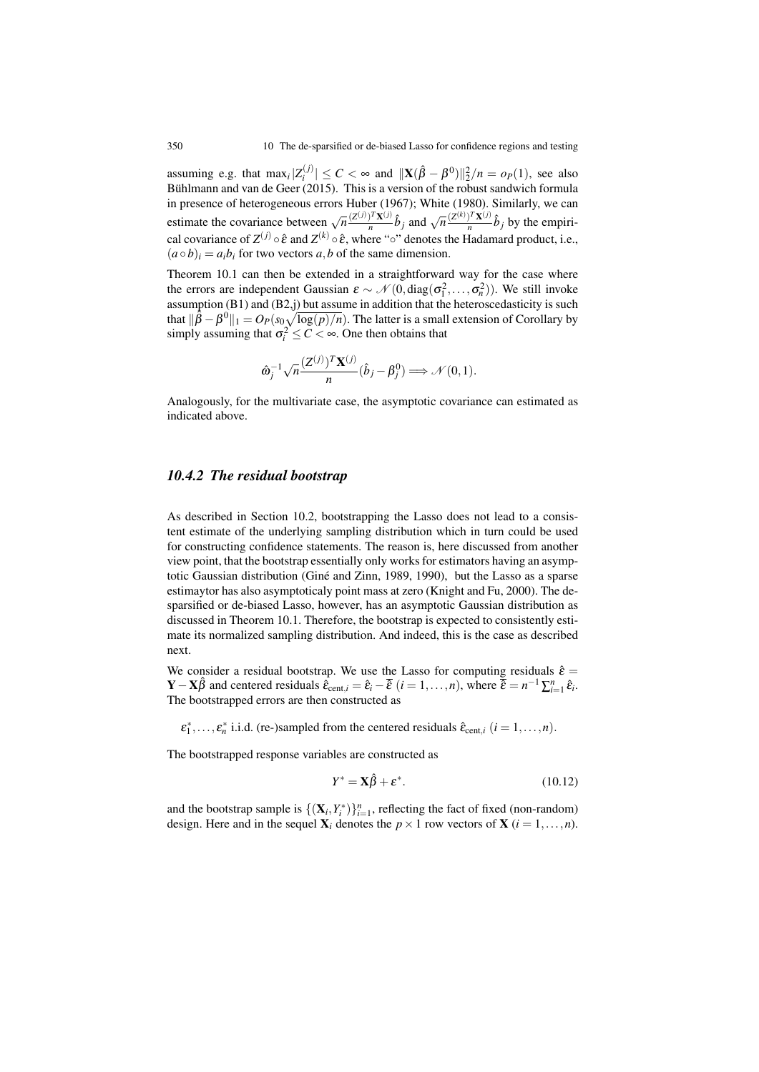assuming e.g. that  $\max_i |Z_i^{(j)}| \leq C < \infty$  and  $||\mathbf{X}(\hat{\beta} - \beta^0)||_2^2/n = o_P(1)$ , see also Bühlmann and van de Geer (2015). This is a version of the robust sandwich formula in presence of heterogeneous errors Huber (1967); White (1980). Similarly, we can estimate the covariance between  $\sqrt{n} \frac{(Z^{(j)})^T X^{(j)}}{n} \hat{b}_j$  and  $\sqrt{n} \frac{(Z^{(k)})^T X^{(j)}}{n} \hat{b}_j$  by the empirical covariance of  $Z^{(j)} \circ \hat{\varepsilon}$  and  $Z^{(k)} \circ \hat{\varepsilon}$ , where "<sup>o</sup>" denotes the Hadamard product, i.e.,  $(a \circ b)_i = a_i b_i$  for two vectors *a*, *b* of the same dimension.

Theorem 10.1 can then be extended in a straightforward way for the case where the errors are independent Gaussian  $\varepsilon \sim \mathcal{N}(0, \text{diag}(\sigma_1^2, \dots, \sigma_n^2))$ . We still invoke assumption (B1) and (B2,j) but assume in addition that the heteroscedasticity is such that  $\|\hat{\beta} - \beta^0\|_1 = O_P(s_0\sqrt{\log(p)/n})$ . The latter is a small extension of Corollary by simply assuming that  $\sigma_i^2 \leq C < \infty$ . One then obtains that

$$
\hat{\boldsymbol{\omega}}_j^{-1} \sqrt{n} \frac{(\mathbf{Z}^{(j)})^T \mathbf{X}^{(j)}}{n} (\hat{b}_j - \beta_j^0) \Longrightarrow \mathcal{N}(0,1).
$$

Analogously, for the multivariate case, the asymptotic covariance can estimated as indicated above.

#### *10.4.2 The residual bootstrap*

As described in Section 10.2, bootstrapping the Lasso does not lead to a consistent estimate of the underlying sampling distribution which in turn could be used for constructing confidence statements. The reason is, here discussed from another view point, that the bootstrap essentially only works for estimators having an asymptotic Gaussian distribution (Giné and Zinn, 1989, 1990), but the Lasso as a sparse estimaytor has also asymptoticaly point mass at zero (Knight and Fu, 2000). The desparsified or de-biased Lasso, however, has an asymptotic Gaussian distribution as discussed in Theorem 10.1. Therefore, the bootstrap is expected to consistently estimate its normalized sampling distribution. And indeed, this is the case as described next.

We consider a residual bootstrap. We use the Lasso for computing residuals  $\hat{\varepsilon}$  =  $\mathbf{Y} - \mathbf{X}\hat{\beta}$  and centered residuals  $\hat{\hat{\epsilon}}_{\text{cent},i} = \hat{\epsilon}_i - \overline{\hat{\epsilon}} \ (i = 1, \dots, n)$ , where  $\overline{\hat{\epsilon}} = n^{-1} \sum_{i=1}^n \hat{\epsilon}_i$ . The bootstrapped errors are then constructed as

 $\varepsilon_1^*, \ldots, \varepsilon_n^*$  i.i.d. (re-)sampled from the centered residuals  $\hat{\varepsilon}_{\text{cent},i}$  ( $i = 1, \ldots, n$ ).

The bootstrapped response variables are constructed as

$$
Y^* = \mathbf{X}\hat{\beta} + \varepsilon^*.
$$
 (10.12)

and the bootstrap sample is  $\{(\mathbf{X}_i, Y_i^*)\}_{i=1}^n$ , reflecting the fact of fixed (non-random) design. Here and in the sequel  $X_i$  denotes the  $p \times 1$  row vectors of  $X$  ( $i = 1, ..., n$ ).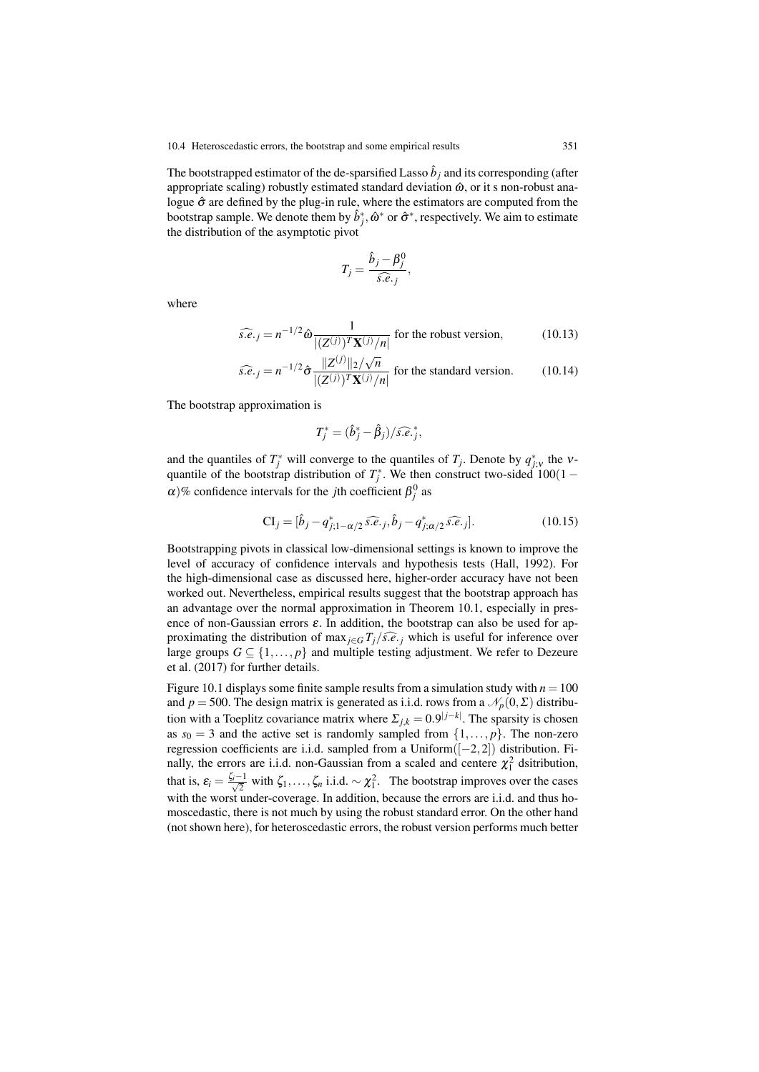The bootstrapped estimator of the de-sparsified Lasso  $\hat{b}_i$  and its corresponding (after appropriate scaling) robustly estimated standard deviation  $\hat{\omega}$ , or it s non-robust analogue  $\hat{\sigma}$  are defined by the plug-in rule, where the estimators are computed from the bootstrap sample. We denote them by  $\hat{b}^*_j$ ,  $\hat{\omega}^*$  or  $\hat{\sigma}^*$ , respectively. We aim to estimate the distribution of the asymptotic pivot

$$
T_j = \frac{\hat{b}_j - \beta_j^0}{\hat{s} \cdot \hat{e}_{\cdot j}},
$$

where

$$
\widehat{s.e.}_j = n^{-1/2} \hat{\omega} \frac{1}{|(Z^{(j)})^T \mathbf{X}^{(j)}/n|}
$$
 for the robust version, (10.13)

$$
\widehat{s.e.}_j = n^{-1/2} \widehat{\sigma} \frac{\|Z^{(j)}\|_2 / \sqrt{n}}{\left| (Z^{(j)})^T \mathbf{X}^{(j)} / n \right|} \text{ for the standard version.}
$$
 (10.14)

The bootstrap approximation is

$$
T_j^* = (\hat{b}_j^* - \hat{\beta}_j)/\widehat{s.e.}^*_{j},
$$

and the quantiles of  $T_j^*$  will converge to the quantiles of  $T_j$ . Denote by  $q_{j;v}^*$  the vquantile of the bootstrap distribution of  $T_j^*$ . We then construct two-sided 100(1 –  $\alpha$ )% confidence intervals for the *j*th coefficient  $\beta_j^0$  as

$$
\mathbf{CI}_{j} = [\hat{b}_{j} - q_{j;1-\alpha/2}^{*} \hat{s} \cdot \hat{e}_{\cdot j}, \hat{b}_{j} - q_{j;\alpha/2}^{*} \hat{s} \cdot \hat{e}_{\cdot j}].
$$
\n(10.15)

Bootstrapping pivots in classical low-dimensional settings is known to improve the level of accuracy of confidence intervals and hypothesis tests (Hall, 1992). For the high-dimensional case as discussed here, higher-order accuracy have not been worked out. Nevertheless, empirical results suggest that the bootstrap approach has an advantage over the normal approximation in Theorem 10.1, especially in presence of non-Gaussian errors  $\varepsilon$ . In addition, the bootstrap can also be used for approximating the distribution of max<sub> $i \in G$ </sub>  $T_i/\widehat{s.e.}$  *j* which is useful for inference over large groups  $G \subseteq \{1, \ldots, p\}$  and multiple testing adjustment. We refer to Dezeure et al. (2017) for further details.

Figure 10.1 displays some finite sample results from a simulation study with  $n = 100$ and *p* = 500. The design matrix is generated as i.i.d. rows from a  $\mathcal{N}_p(0,\Sigma)$  distribution with a Toeplitz covariance matrix where  $\Sigma_{j,k} = 0.9^{|j-k|}$ . The sparsity is chosen as  $s_0 = 3$  and the active set is randomly sampled from  $\{1, \ldots, p\}$ . The non-zero regression coefficients are i.i.d. sampled from a Uniform([−2,2]) distribution. Finally, the errors are i.i.d. non-Gaussian from a scaled and centere  $\chi_1^2$  dsitribution, that is,  $\varepsilon_i = \frac{\zeta_i - 1}{\sqrt{2}}$  with  $\zeta_1, \ldots, \zeta_n$  i.i.d.  $\sim \chi_1^2$ . The bootstrap improves over the cases with the worst under-coverage. In addition, because the errors are *i.i.d.* and thus homoscedastic, there is not much by using the robust standard error. On the other hand (not shown here), for heteroscedastic errors, the robust version performs much better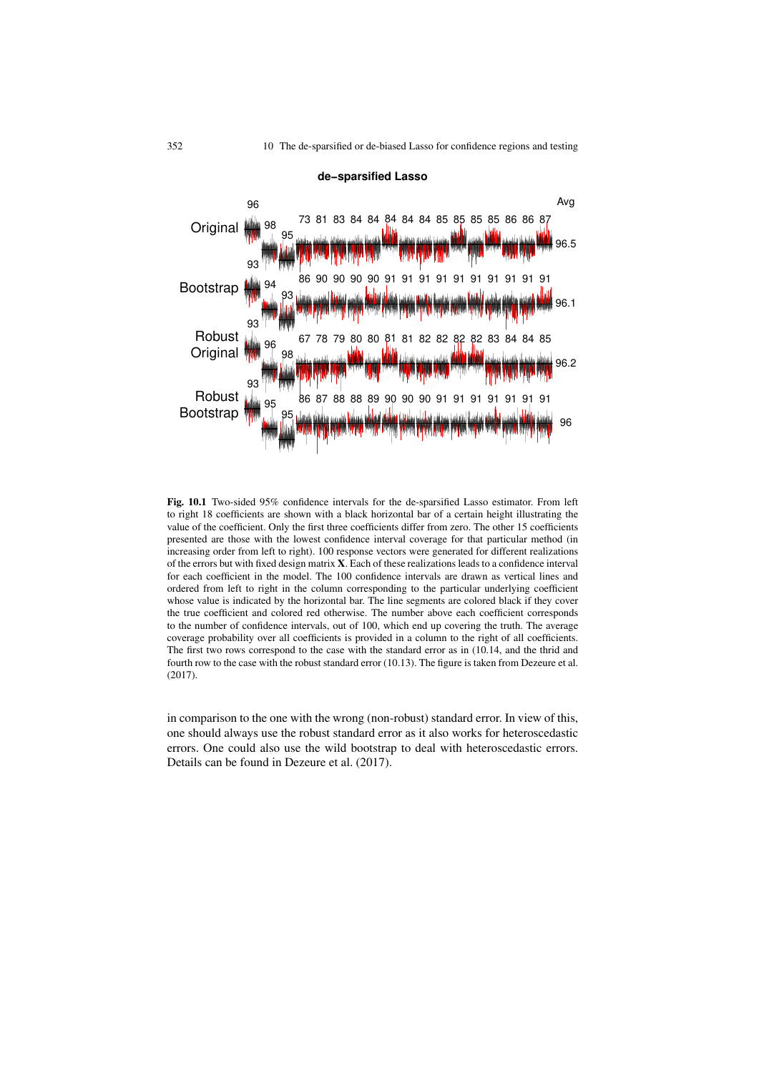

Fig. 10.1 Two-sided 95% confidence intervals for the de-sparsified Lasso estimator. From left to right 18 coefficients are shown with a black horizontal bar of a certain height illustrating the value of the coefficient. Only the first three coefficients differ from zero. The other 15 coefficients presented are those with the lowest confidence interval coverage for that particular method (in increasing order from left to right). 100 response vectors were generated for different realizations of the errors but with fixed design matrix X. Each of these realizations leads to a confidence interval for each coefficient in the model. The 100 confidence intervals are drawn as vertical lines and ordered from left to right in the column corresponding to the particular underlying coefficient whose value is indicated by the horizontal bar. The line segments are colored black if they cover the true coefficient and colored red otherwise. The number above each coefficient corresponds to the number of confidence intervals, out of 100, which end up covering the truth. The average coverage probability over all coefficients is provided in a column to the right of all coefficients. The first two rows correspond to the case with the standard error as in (10.14, and the thrid and fourth row to the case with the robust standard error (10.13). The figure is taken from Dezeure et al. (2017).

in comparison to the one with the wrong (non-robust) standard error. In view of this, one should always use the robust standard error as it also works for heteroscedastic errors. One could also use the wild bootstrap to deal with heteroscedastic errors. Details can be found in Dezeure et al. (2017).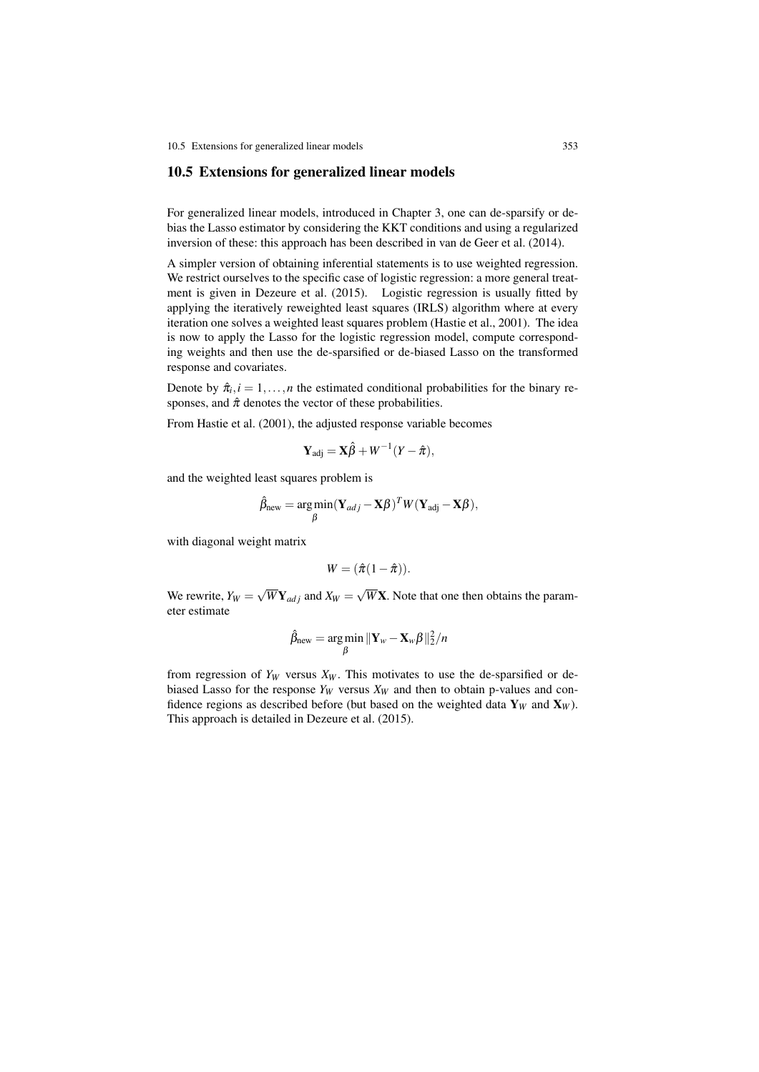10.5 Extensions for generalized linear models 353

#### 10.5 Extensions for generalized linear models

For generalized linear models, introduced in Chapter 3, one can de-sparsify or debias the Lasso estimator by considering the KKT conditions and using a regularized inversion of these: this approach has been described in van de Geer et al. (2014).

A simpler version of obtaining inferential statements is to use weighted regression. We restrict ourselves to the specific case of logistic regression: a more general treatment is given in Dezeure et al. (2015). Logistic regression is usually fitted by applying the iteratively reweighted least squares (IRLS) algorithm where at every iteration one solves a weighted least squares problem (Hastie et al., 2001). The idea is now to apply the Lasso for the logistic regression model, compute corresponding weights and then use the de-sparsified or de-biased Lasso on the transformed response and covariates.

Denote by  $\hat{\pi}_i$ ,  $i = 1, \ldots, n$  the estimated conditional probabilities for the binary responses, and  $\hat{\pi}$  denotes the vector of these probabilities.

From Hastie et al. (2001), the adjusted response variable becomes

$$
\mathbf{Y}_{\text{adj}} = \mathbf{X}\hat{\beta} + W^{-1}(Y - \hat{\pi}),
$$

and the weighted least squares problem is

$$
\hat{\beta}_{\text{new}} = \underset{\beta}{\text{arg min}} (\mathbf{Y}_{adj} - \mathbf{X}\beta)^T W (\mathbf{Y}_{\text{adj}} - \mathbf{X}\beta),
$$

with diagonal weight matrix

$$
W=(\hat{\pi}(1-\hat{\pi})).
$$

We rewrite,  $Y_W = \sqrt{W} \mathbf{Y}_{adj}$  and  $X_W = \sqrt{W} \mathbf{X}$ . Note that one then obtains the parameter estimate

$$
\hat{\beta}_{\text{new}} = \underset{\beta}{\text{arg min}} \|\mathbf{Y}_{w} - \mathbf{X}_{w}\beta\|_{2}^{2}/n
$$

from regression of  $Y_W$  versus  $X_W$ . This motivates to use the de-sparsified or debiased Lasso for the response  $Y_W$  versus  $X_W$  and then to obtain p-values and confidence regions as described before (but based on the weighted data  $\mathbf{Y}_W$  and  $\mathbf{X}_W$ ). This approach is detailed in Dezeure et al. (2015).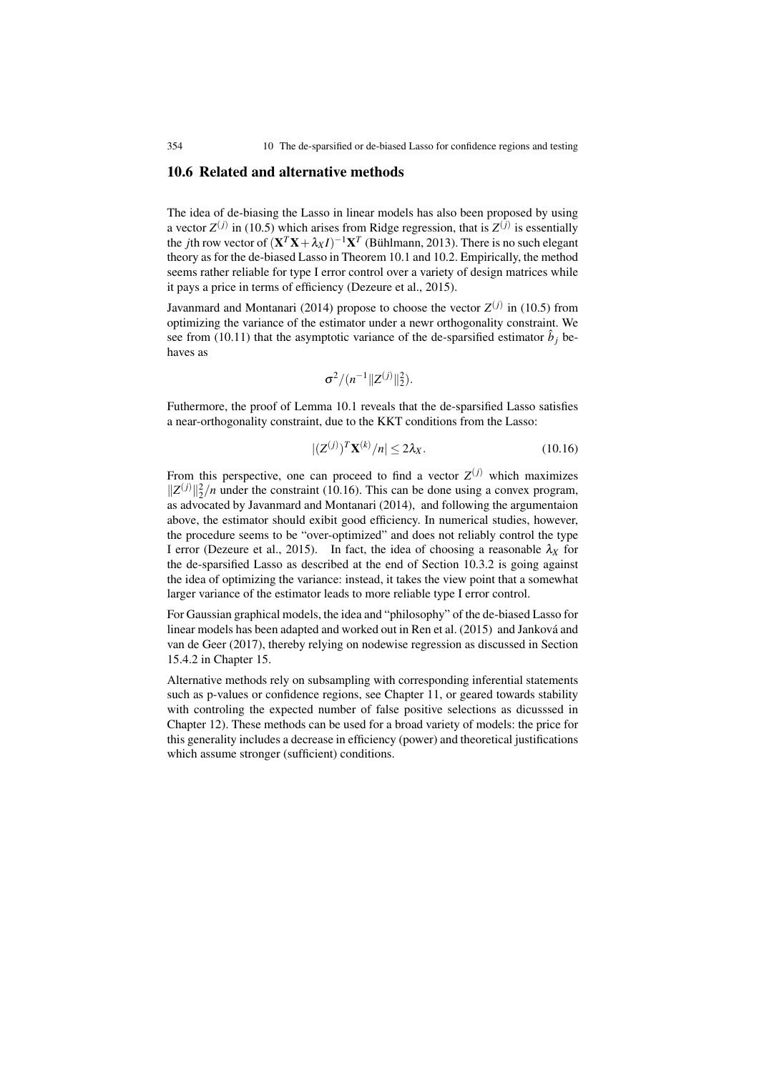# 10.6 Related and alternative methods

The idea of de-biasing the Lasso in linear models has also been proposed by using a vector  $Z^{(j)}$  in (10.5) which arises from Ridge regression, that is  $Z^{(j)}$  is essentially the *j*th row vector of  $(X^T X + \lambda_X I)^{-1} X^T$  (Bühlmann, 2013). There is no such elegant theory as for the de-biased Lasso in Theorem 10.1 and 10.2. Empirically, the method seems rather reliable for type I error control over a variety of design matrices while it pays a price in terms of efficiency (Dezeure et al., 2015).

Javanmard and Montanari (2014) propose to choose the vector  $Z^{(j)}$  in (10.5) from optimizing the variance of the estimator under a newr orthogonality constraint. We see from (10.11) that the asymptotic variance of the de-sparsified estimator  $\hat{b}_j$  behaves as

$$
\sigma^2/(n^{-1}||Z^{(j)}||_2^2).
$$

Futhermore, the proof of Lemma 10.1 reveals that the de-sparsified Lasso satisfies a near-orthogonality constraint, due to the KKT conditions from the Lasso:

$$
|(Z^{(j)})^T \mathbf{X}^{(k)}/n| \le 2\lambda_X. \tag{10.16}
$$

From this perspective, one can proceed to find a vector  $Z^{(j)}$  which maximizes  $||Z^{(j)}||_2^2/n$  under the constraint (10.16). This can be done using a convex program, as advocated by Javanmard and Montanari (2014), and following the argumentaion above, the estimator should exibit good efficiency. In numerical studies, however, the procedure seems to be "over-optimized" and does not reliably control the type I error (Dezeure et al., 2015). In fact, the idea of choosing a reasonable  $\lambda_X$  for the de-sparsified Lasso as described at the end of Section 10.3.2 is going against the idea of optimizing the variance: instead, it takes the view point that a somewhat larger variance of the estimator leads to more reliable type I error control.

For Gaussian graphical models, the idea and "philosophy" of the de-biased Lasso for linear models has been adapted and worked out in Ren et al.  $(2015)$  and Janková and van de Geer (2017), thereby relying on nodewise regression as discussed in Section 15.4.2 in Chapter 15.

Alternative methods rely on subsampling with corresponding inferential statements such as p-values or confidence regions, see Chapter 11, or geared towards stability with controling the expected number of false positive selections as dicusssed in Chapter 12). These methods can be used for a broad variety of models: the price for this generality includes a decrease in efficiency (power) and theoretical justifications which assume stronger (sufficient) conditions.